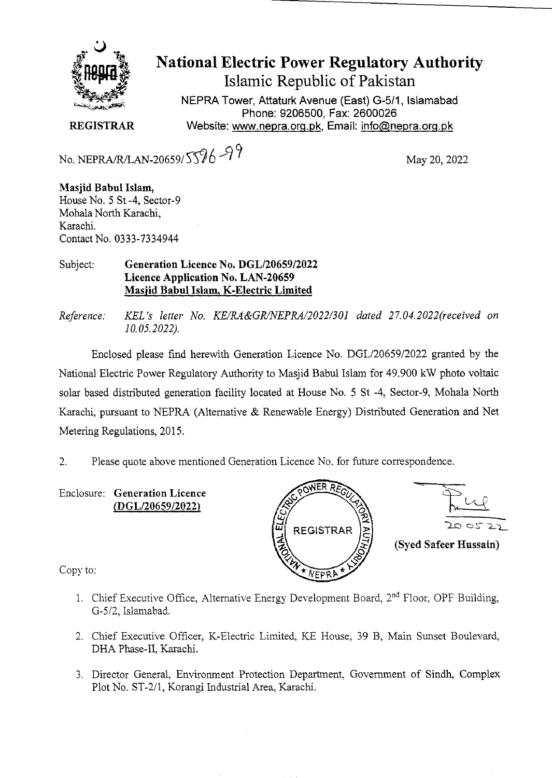

**National Electric Power Regulatory Authority Islamic Republic of Pakistan** 

NEPRA Tower, Attaturk Avenue (East) G-511, Islamabad Phone: 9206500, Fax: 2600026 **REGISTRAR** Website: www.nepra.org.pk, Email: info@nepra.org.pk

No. NEPRA/R/LAN-20659/ 5596 -97

**Masjid Babul Islam,**  House No. *5* St -4, Sector-9 Mohala North Karachi, Karachi. Contact No. 0333-7334944

## Subject: **Generation Licence No. DGL/20659/2022 Licence Application No. LAN-20659 Masjid Babul Islam, K-Electric Limited**

*Reference:* KEL's letter No. KE/RA&GR/NEPRA/2022/301 dated 27.04.2022(received on *10.05.2022).* 

Enclosed please find herewith Generation Licence No. DGL/20659/2022 granted by the National Electric Power Regulatory Authority to Masjid Babul Islam for 49.900 kW photo voltaic solar based distributed generation facility located at House No. 5 St -4, Sector-9, Mohala North Karachi, pursuant to NEPRA (Alternative & Renewable Energy) Distributed Generation and Net Metering Regulations, 2015.

2. Please quote above mentioned Generation Licence No. for future correspondence.

Enclosure: **Generation Licence (DGL/20659/2022)** 





Copy to:

- 1. Chief Executive Office, Alternative Energy Development Board,  $2<sup>nd</sup>$  Floor, OPF Building, G-5/2, Islarnabad.
- 2. Chief Executive Officer, K-Electric Limited, KE House, 39 B, Main Sunset Boulevard, DHA Phase-Il, Karachi.
- 3. Director General, Environment Protection Department, Govermnent of Sindh, Complex Plot No. *ST-211,* Korangi Industrial Area, Karachi.